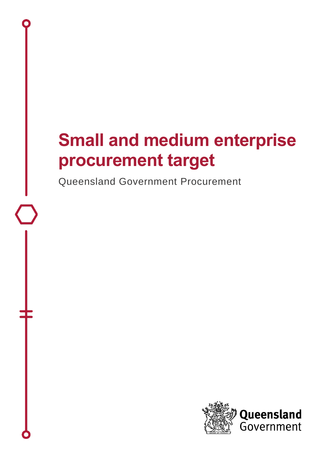# **Small and medium enterprise procurement target**

Queensland Government Procurement

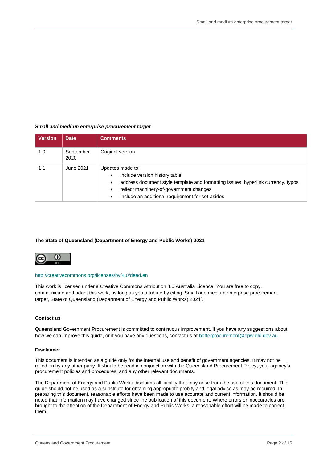#### *Small and medium enterprise procurement target*

| <b>Version</b> | <b>Date</b>       | <b>Comments</b>                                                                                                                                                                                                                                   |
|----------------|-------------------|---------------------------------------------------------------------------------------------------------------------------------------------------------------------------------------------------------------------------------------------------|
| 1.0            | September<br>2020 | Original version                                                                                                                                                                                                                                  |
| 1.1            | June 2021         | Updates made to:<br>include version history table<br>$\bullet$<br>address document style template and formatting issues, hyperlink currency, typos<br>reflect machinery-of-government changes<br>include an additional requirement for set-asides |

#### **The State of Queensland (Department of Energy and Public Works) 2021**



#### <http://creativecommons.org/licenses/by/4.0/deed.en>

This work is licensed under a Creative Commons Attribution 4.0 Australia Licence. You are free to copy, communicate and adapt this work, as long as you attribute by citing 'Small and medium enterprise procurement target, State of Queensland (Department of Energy and Public Works) 2021'.

#### **Contact us**

Queensland Government Procurement is committed to continuous improvement. If you have any suggestions about how we can improve this guide, or if you have any questions, contact us at [betterprocurement@epw.qld.gov.au.](mailto:betterprocurement@epw.qld.gov.au)

#### **Disclaimer**

This document is intended as a guide only for the internal use and benefit of government agencies. It may not be relied on by any other party. It should be read in conjunction with the Queensland Procurement Policy, your agency's procurement policies and procedures, and any other relevant documents.

The Department of Energy and Public Works disclaims all liability that may arise from the use of this document. This guide should not be used as a substitute for obtaining appropriate probity and legal advice as may be required. In preparing this document, reasonable efforts have been made to use accurate and current information. It should be noted that information may have changed since the publication of this document. Where errors or inaccuracies are brought to the attention of the Department of Energy and Public Works, a reasonable effort will be made to correct them.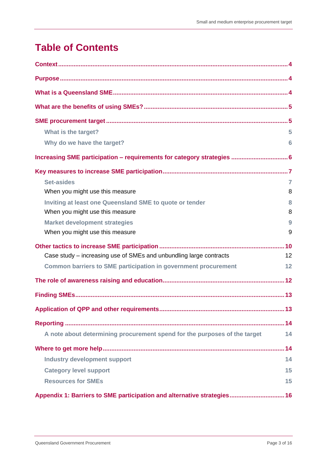# **Table of Contents**

| What is the target?                                                       | 5              |
|---------------------------------------------------------------------------|----------------|
| Why do we have the target?                                                | 6              |
|                                                                           |                |
|                                                                           |                |
| <b>Set-asides</b>                                                         | $\overline{7}$ |
| When you might use this measure                                           | 8              |
| Inviting at least one Queensland SME to quote or tender                   | 8              |
| When you might use this measure                                           | 8              |
| <b>Market development strategies</b>                                      | 9              |
| When you might use this measure                                           | 9              |
|                                                                           |                |
| Case study – increasing use of SMEs and unbundling large contracts        | 12             |
| <b>Common barriers to SME participation in government procurement</b>     | 12             |
|                                                                           |                |
|                                                                           |                |
|                                                                           |                |
|                                                                           |                |
| A note about determining procurement spend for the purposes of the target | 14             |
|                                                                           |                |
| <b>Industry development support</b>                                       | 14             |
| <b>Category level support</b>                                             | 15             |
| <b>Resources for SMEs</b>                                                 | 15             |
| Appendix 1: Barriers to SME participation and alternative strategies 16   |                |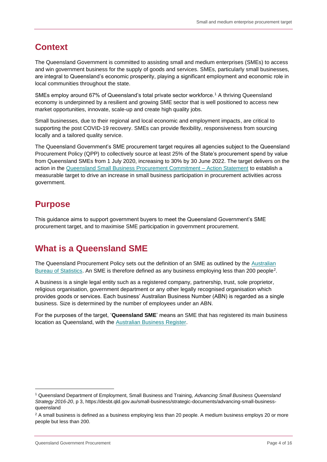# <span id="page-3-0"></span>**Context**

The Queensland Government is committed to assisting small and medium enterprises (SMEs) to access and win government business for the supply of goods and services. SMEs, particularly small businesses, are integral to Queensland's economic prosperity, playing a significant employment and economic role in local communities throughout the state.

SMEs employ around 67% of Queensland's total private sector workforce.<sup>1</sup> A thriving Queensland economy is underpinned by a resilient and growing SME sector that is well positioned to access new market opportunities, innovate, scale-up and create high quality jobs.

Small businesses, due to their regional and local economic and employment impacts, are critical to supporting the post COVID-19 recovery. SMEs can provide flexibility, responsiveness from sourcing locally and a tailored quality service.

The Queensland Government's SME procurement target requires all agencies subject to the Queensland Procurement Policy (QPP) to collectively source at least 25% of the State's procurement spend by value from Queensland SMEs from 1 July 2020, increasing to 30% by 30 June 2022. The target delivers on the action in the [Queensland Small Business Procurement Commitment –](https://www.publications.qld.gov.au/dataset/queensland-small-business-procurement-commitment-action-statement) Action Statement to establish a measurable target to drive an increase in small business participation in procurement activities across government.

# <span id="page-3-1"></span>**Purpose**

This guidance aims to support government buyers to meet the Queensland Government's SME procurement target, and to maximise SME participation in government procurement.

# <span id="page-3-2"></span>**What is a Queensland SME**

The Queensland Procurement Policy sets out the definition of an SME as outlined by the [Australian](https://www.abs.gov.au/AUSSTATS/abs@.nsf/mf/1321.0)  [Bureau of Statistics.](https://www.abs.gov.au/AUSSTATS/abs@.nsf/mf/1321.0) An SME is therefore defined as any business employing less than 200 people<sup>2</sup>.

A business is a single legal entity such as a registered company, partnership, trust, sole proprietor, religious organisation, government department or any other legally recognised organisation which provides goods or services. Each business' Australian Business Number (ABN) is regarded as a single business. Size is determined by the number of employees under an ABN.

For the purposes of the target, '**Queensland SME**' means an SME that has registered its main business location as Queensland, with the [Australian Business Register.](https://abr.business.gov.au/)

<sup>1</sup> Queensland Department of Employment, Small Business and Training, *Advancing Small Business Queensland Strategy 2016-20*, p 3, https://desbt.qld.gov.au/small-business/strategic-documents/advancing-small-businessqueensland

<sup>&</sup>lt;sup>2</sup> A small business is defined as a business employing less than 20 people. A medium business employs 20 or more people but less than 200.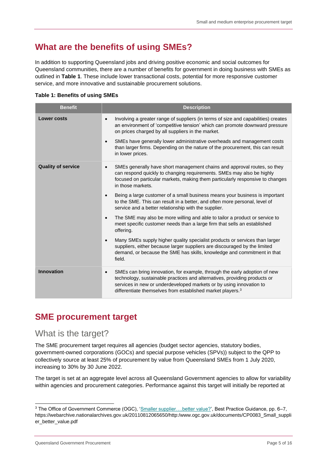# <span id="page-4-0"></span>**What are the benefits of using SMEs?**

In addition to supporting Queensland jobs and driving positive economic and social outcomes for Queensland communities, there are a number of benefits for government in doing business with SMEs as outlined in **Table 1**. These include lower transactional costs, potential for more responsive customer service, and more innovative and sustainable procurement solutions.

#### **Table 1: Benefits of using SMEs**

| <b>Benefit</b>            | <b>Description</b>                                                                                                                                                                                                                                                                                                                                                                                                   |
|---------------------------|----------------------------------------------------------------------------------------------------------------------------------------------------------------------------------------------------------------------------------------------------------------------------------------------------------------------------------------------------------------------------------------------------------------------|
| <b>Lower costs</b>        | Involving a greater range of suppliers (in terms of size and capabilities) creates<br>an environment of 'competitive tension' which can promote downward pressure<br>on prices charged by all suppliers in the market.<br>SMEs have generally lower administrative overheads and management costs<br>$\bullet$<br>than larger firms. Depending on the nature of the procurement, this can result<br>in lower prices. |
| <b>Quality of service</b> | SMEs generally have short management chains and approval routes, so they<br>$\bullet$<br>can respond quickly to changing requirements. SMEs may also be highly<br>focused on particular markets, making them particularly responsive to changes<br>in those markets.                                                                                                                                                 |
|                           | Being a large customer of a small business means your business is important<br>$\bullet$<br>to the SME. This can result in a better, and often more personal, level of<br>service and a better relationship with the supplier.                                                                                                                                                                                       |
|                           | The SME may also be more willing and able to tailor a product or service to<br>$\bullet$<br>meet specific customer needs than a large firm that sells an established<br>offering.                                                                                                                                                                                                                                    |
|                           | Many SMEs supply higher quality specialist products or services than larger<br>$\bullet$<br>suppliers, either because larger suppliers are discouraged by the limited<br>demand, or because the SME has skills, knowledge and commitment in that<br>field.                                                                                                                                                           |
| <b>Innovation</b>         | SMEs can bring innovation, for example, through the early adoption of new<br>$\bullet$<br>technology, sustainable practices and alternatives, providing products or<br>services in new or underdeveloped markets or by using innovation to<br>differentiate themselves from established market players. <sup>3</sup>                                                                                                 |

### <span id="page-4-1"></span>**SME procurement target**

#### <span id="page-4-2"></span>What is the target?

The SME procurement target requires all agencies (budget sector agencies, statutory bodies, government-owned corporations (GOCs) and special purpose vehicles (SPVs)) subject to the QPP to collectively source at least 25% of procurement by value from Queensland SMEs from 1 July 2020, increasing to 30% by 30 June 2022.

The target is set at an aggregate level across all Queensland Government agencies to allow for variability within agencies and procurement categories. Performance against this target will initially be reported at

Queensland Government Procurement **Procurement Procurement Page 5 of 16** 

<sup>3</sup> The Office of Government Commerce (OGC), ['Smaller supplier….better value?',](http://webarchive.nationalarchives.gov.uk/20110812065650/http:/www.ogc.gov.uk/documents/CP0083_Small_supplier_better_value.pdf) Best Practice Guidance, pp. 6–7, https://webarchive.nationalarchives.gov.uk/20110812065650/http:/www.ogc.gov.uk/documents/CP0083\_Small\_suppli er\_better\_value.pdf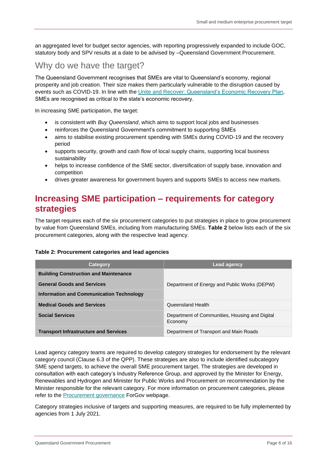an aggregated level for budget sector agencies, with reporting progressively expanded to include GOC, statutory body and SPV results at a date to be advised by –Queensland Government Procurement.

### <span id="page-5-0"></span>Why do we have the target?

The Queensland Government recognises that SMEs are vital to Queensland's economy, regional prosperity and job creation. Their size makes them particularly vulnerable to the disruption caused by events such as COVID-19. In line with the [Unite and Recover: Queensland's Economic Recovery Plan,](https://www.covid19.qld.gov.au/government-actions/our-economic-recovery-strategy) SMEs are recognised as critical to the state's economic recovery.

In increasing SME participation, the target:

- is consistent with *Buy Queensland*, which aims to support local jobs and businesses
- reinforces the Queensland Government's commitment to supporting SMEs
- aims to stabilise existing procurement spending with SMEs during COVID-19 and the recovery period
- supports security, growth and cash flow of local supply chains, supporting local business sustainability
- helps to increase confidence of the SME sector, diversification of supply base, innovation and competition
- drives greater awareness for government buyers and supports SMEs to access new markets.

### <span id="page-5-1"></span>**Increasing SME participation – requirements for category strategies**

The target requires each of the six procurement categories to put strategies in place to grow procurement by value from Queensland SMEs, including from manufacturing SMEs. **Table 2** below lists each of the six procurement categories, along with the respective lead agency.

#### **Table 2: Procurement categories and lead agencies**

| Category                                        | <b>Lead agency</b>                                        |
|-------------------------------------------------|-----------------------------------------------------------|
| <b>Building Construction and Maintenance</b>    |                                                           |
| <b>General Goods and Services</b>               | Department of Energy and Public Works (DEPW)              |
| <b>Information and Communication Technology</b> |                                                           |
| <b>Medical Goods and Services</b>               | Queensland Health                                         |
| <b>Social Services</b>                          | Department of Communities, Housing and Digital<br>Economy |
| <b>Transport Infrastructure and Services</b>    | Department of Transport and Main Roads                    |

Lead agency category teams are required to develop category strategies for endorsement by the relevant category council (Clause 6.3 of the QPP). These strategies are also to include identified subcategory SME spend targets, to achieve the overall SME procurement target. The strategies are developed in consultation with each category's Industry Reference Group, and approved by the Minister for Energy, Renewables and Hydrogen and Minister for Public Works and Procurement on recommendation by the Minister responsible for the relevant category. For more information on procurement categories, please refer to the [Procurement governance](https://www.forgov.qld.gov.au/procurement-governance-framework) ForGov webpage.

Category strategies inclusive of targets and supporting measures, are required to be fully implemented by agencies from 1 July 2021.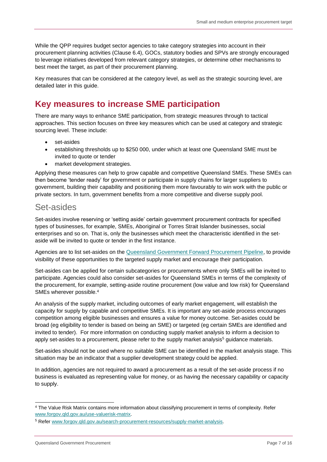While the QPP requires budget sector agencies to take category strategies into account in their procurement planning activities (Clause 6.4), GOCs, statutory bodies and SPVs are strongly encouraged to leverage initiatives developed from relevant category strategies, or determine other mechanisms to best meet the target, as part of their procurement planning.

Key measures that can be considered at the category level, as well as the strategic sourcing level, are detailed later in this guide.

### <span id="page-6-0"></span>**Key measures to increase SME participation**

There are many ways to enhance SME participation, from strategic measures through to tactical approaches. This section focuses on three key measures which can be used at category and strategic sourcing level. These include:

- set-asides
- establishing thresholds up to \$250 000, under which at least one Queensland SME must be invited to quote or tender
- market development strategies.

Applying these measures can help to grow capable and competitive Queensland SMEs. These SMEs can then become 'tender ready' for government or participate in supply chains for larger suppliers to government, building their capability and positioning them more favourably to win work with the public or private sectors. In turn, government benefits from a more competitive and diverse supply pool.

#### <span id="page-6-1"></span>Set-asides

Set-asides involve reserving or 'setting aside' certain government procurement contracts for specified types of businesses, for example, SMEs, Aboriginal or Torres Strait Islander businesses, social enterprises and so on. That is, only the businesses which meet the characteristic identified in the setaside will be invited to quote or tender in the first instance.

Agencies are to list set-asides on the [Queensland Government Forward Procurement Pipeline,](https://qtenders.hpw.qld.gov.au/fpp/) to provide visibility of these opportunities to the targeted supply market and encourage their participation.

Set-asides can be applied for certain subcategories or procurements where only SMEs will be invited to participate. Agencies could also consider set-asides for Queensland SMEs in terms of the complexity of the procurement, for example, setting-aside routine procurement (low value and low risk) for Queensland SMEs wherever possible.<sup>4</sup>

An analysis of the supply market, including outcomes of early market engagement, will establish the capacity for supply by capable and competitive SMEs. It is important any set-aside process encourages competition among eligible businesses and ensures a value for money outcome. Set-asides could be broad (eg eligibility to tender is based on being an SME) or targeted (eg certain SMEs are identified and invited to tender). For more information on conducting supply market analysis to inform a decision to apply set-asides to a procurement, please refer to the supply market analysis<sup>5</sup> guidance materials.

Set-asides should not be used where no suitable SME can be identified in the market analysis stage. This situation may be an indicator that a supplier development strategy could be applied.

In addition, agencies are not required to award a procurement as a result of the set-aside process if no business is evaluated as representing value for money, or as having the necessary capability or capacity to supply.

<sup>4</sup> The Value Risk Matrix contains more information about classifying procurement in terms of complexity. Refer [www.forgov.qld.gov.au/use-valuerisk-matrix.](http://www.forgov.qld.gov.au/use-valuerisk-matrix)

<sup>5</sup> Refer [www.forgov.qld.gov.au/search-procurement-resources/supply-market-analysis.](http://www.forgov.qld.gov.au/search-procurement-resources/supply-market-analysis)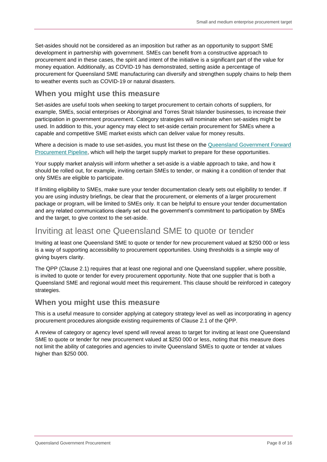Set-asides should not be considered as an imposition but rather as an opportunity to support SME development in partnership with government. SMEs can benefit from a constructive approach to procurement and in these cases, the spirit and intent of the initiative is a significant part of the value for money equation. Additionally, as COVID-19 has demonstrated, setting aside a percentage of procurement for Queensland SME manufacturing can diversify and strengthen supply chains to help them to weather events such as COVID-19 or natural disasters.

#### <span id="page-7-0"></span>**When you might use this measure**

Set-asides are useful tools when seeking to target procurement to certain cohorts of suppliers, for example, SMEs, social enterprises or Aboriginal and Torres Strait Islander businesses, to increase their participation in government procurement. Category strategies will nominate when set-asides might be used. In addition to this, your agency may elect to set-aside certain procurement for SMEs where a capable and competitive SME market exists which can deliver value for money results.

Where a decision is made to use set-asides, you must list these on the [Queensland Government Forward](https://qtenders.hpw.qld.gov.au/fpp/)  [Procurement Pipeline,](https://qtenders.hpw.qld.gov.au/fpp/) which will help the target supply market to prepare for these opportunities.

Your supply market analysis will inform whether a set-aside is a viable approach to take, and how it should be rolled out, for example, inviting certain SMEs to tender, or making it a condition of tender that only SMEs are eligible to participate.

If limiting eligibility to SMEs, make sure your tender documentation clearly sets out eligibility to tender. If you are using industry briefings, be clear that the procurement, or elements of a larger procurement package or program, will be limited to SMEs only. It can be helpful to ensure your tender documentation and any related communications clearly set out the government's commitment to participation by SMEs and the target, to give context to the set-aside.

#### <span id="page-7-1"></span>Inviting at least one Queensland SME to quote or tender

Inviting at least one Queensland SME to quote or tender for new procurement valued at \$250 000 or less is a way of supporting accessibility to procurement opportunities. Using thresholds is a simple way of giving buyers clarity.

The QPP (Clause 2.1) requires that at least one regional and one Queensland supplier, where possible, is invited to quote or tender for every procurement opportunity. Note that one supplier that is both a Queensland SME and regional would meet this requirement. This clause should be reinforced in category strategies.

#### <span id="page-7-2"></span>**When you might use this measure**

This is a useful measure to consider applying at category strategy level as well as incorporating in agency procurement procedures alongside existing requirements of Clause 2.1 of the QPP.

A review of category or agency level spend will reveal areas to target for inviting at least one Queensland SME to quote or tender for new procurement valued at \$250 000 or less, noting that this measure does not limit the ability of categories and agencies to invite Queensland SMEs to quote or tender at values higher than \$250 000.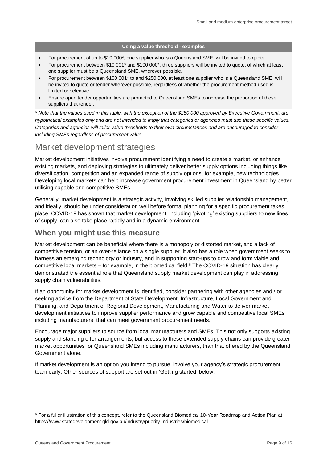#### **Using a value threshold - examples**

- For procurement of up to \$10 000\*, one supplier who is a Queensland SME, will be invited to quote.
- For procurement between \$10 001\* and \$100 000\*, three suppliers will be invited to quote, of which at least one supplier must be a Queensland SME, wherever possible.
- For procurement between \$100 001\* to and \$250 000, at least one supplier who is a Queensland SME, will be invited to quote or tender wherever possible, regardless of whether the procurement method used is limited or selective.
- Ensure open tender opportunities are promoted to Queensland SMEs to increase the proportion of these suppliers that tender.

*\* Note that the values used in this table, with the exception of the \$250 000 approved by Executive Government, are hypothetical examples only and are not intended to imply that categories or agencies must use these specific values. Categories and agencies will tailor value thresholds to their own circumstances and are encouraged to consider including SMEs regardless of procurement value.*

### <span id="page-8-0"></span>Market development strategies

Market development initiatives involve procurement identifying a need to create a market, or enhance existing markets, and deploying strategies to ultimately deliver better supply options including things like diversification, competition and an expanded range of supply options, for example, new technologies. Developing local markets can help increase government procurement investment in Queensland by better utilising capable and competitive SMEs.

Generally, market development is a strategic activity, involving skilled supplier relationship management, and ideally, should be under consideration well before formal planning for a specific procurement takes place. COVID-19 has shown that market development, including 'pivoting' existing suppliers to new lines of supply, can also take place rapidly and in a dynamic environment.

#### <span id="page-8-1"></span>**When you might use this measure**

Market development can be beneficial where there is a monopoly or distorted market, and a lack of competitive tension, or an over-reliance on a single supplier. It also has a role when government seeks to harness an emerging technology or industry, and in supporting start-ups to grow and form viable and competitive local markets - for example, in the biomedical field.<sup>6</sup> The COVID-19 situation has clearly demonstrated the essential role that Queensland supply market development can play in addressing supply chain vulnerabilities.

If an opportunity for market development is identified, consider partnering with other agencies and / or seeking advice from the Department of State Development, Infrastructure, Local Government and Planning, and Department of Regional Development, Manufacturing and Water to deliver market development initiatives to improve supplier performance and grow capable and competitive local SMEs including manufacturers, that can meet government procurement needs.

Encourage major suppliers to source from local manufacturers and SMEs. This not only supports existing supply and standing offer arrangements, but access to these extended supply chains can provide greater market opportunities for Queensland SMEs including manufacturers, than that offered by the Queensland Government alone.

If market development is an option you intend to pursue, involve your agency's strategic procurement team early. Other sources of support are set out in 'Getting started' below.

<sup>&</sup>lt;sup>6</sup> For a fuller illustration of this concept, refer to the Queensland Biomedical 10-Year Roadmap and Action Plan at https://www.statedevelopment.qld.gov.au/industry/priority-industries/biomedical.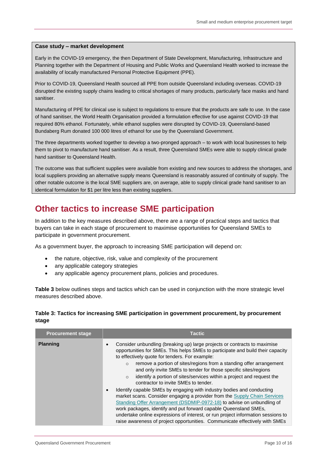#### **Case study – market development**

Early in the COVID-19 emergency, the then Department of State Development, Manufacturing, Infrastructure and Planning together with the Department of Housing and Public Works and Queensland Health worked to increase the availability of locally manufactured Personal Protective Equipment (PPE).

Prior to COVID-19, Queensland Health sourced all PPE from outside Queensland including overseas. COVID-19 disrupted the existing supply chains leading to critical shortages of many products, particularly face masks and hand sanitiser.

Manufacturing of PPE for clinical use is subject to regulations to ensure that the products are safe to use. In the case of hand sanitiser, the World Health Organisation provided a formulation effective for use against COVID-19 that required 80% ethanol. Fortunately, while ethanol supplies were disrupted by COVID-19, Queensland-based Bundaberg Rum donated 100 000 litres of ethanol for use by the Queensland Government.

The three departments worked together to develop a two-pronged approach – to work with local businesses to help them to pivot to manufacture hand sanitiser. As a result, three Queensland SMEs were able to supply clinical grade hand sanitiser to Queensland Health.

The outcome was that sufficient supplies were available from existing and new sources to address the shortages, and local suppliers providing an alternative supply means Queensland is reasonably assured of continuity of supply. The other notable outcome is the local SME suppliers are, on average, able to supply clinical grade hand sanitiser to an identical formulation for \$1 per litre less than existing suppliers.

### <span id="page-9-0"></span>**Other tactics to increase SME participation**

In addition to the key measures described above, there are a range of practical steps and tactics that buyers can take in each stage of procurement to maximise opportunities for Queensland SMEs to participate in government procurement.

As a government buyer, the approach to increasing SME participation will depend on:

- the nature, objective, risk, value and complexity of the procurement
- any applicable category strategies
- any applicable agency procurement plans, policies and procedures.

**Table 3** below outlines steps and tactics which can be used in conjunction with the more strategic level measures described above.

#### **Table 3: Tactics for increasing SME participation in government procurement, by procurement stage**

| <b>Procurement stage</b> | <b>Tactic</b>                                                                                                                                                                                                                                                                                                                                                                                                                                                                                                                                                                                                                                                                                                                                                                                                                                                                           |
|--------------------------|-----------------------------------------------------------------------------------------------------------------------------------------------------------------------------------------------------------------------------------------------------------------------------------------------------------------------------------------------------------------------------------------------------------------------------------------------------------------------------------------------------------------------------------------------------------------------------------------------------------------------------------------------------------------------------------------------------------------------------------------------------------------------------------------------------------------------------------------------------------------------------------------|
| <b>Planning</b>          | Consider unbundling (breaking up) large projects or contracts to maximise<br>opportunities for SMEs. This helps SMEs to participate and build their capacity<br>to effectively quote for tenders. For example:<br>remove a portion of sites/regions from a standing offer arrangement<br>$\circ$<br>and only invite SMEs to tender for those specific sites/regions<br>identify a portion of sites/services within a project and request the<br>$\circ$<br>contractor to invite SMEs to tender.<br>Identify capable SMEs by engaging with industry bodies and conducting<br>market scans. Consider engaging a provider from the Supply Chain Services<br>Standing Offer Arrangement (DSDMIP-0972-18) to advise on unbundling of<br>work packages, identify and put forward capable Queensland SMEs,<br>undertake online expressions of interest, or run project information sessions to |
|                          | raise awareness of project opportunities. Communicate effectively with SMEs                                                                                                                                                                                                                                                                                                                                                                                                                                                                                                                                                                                                                                                                                                                                                                                                             |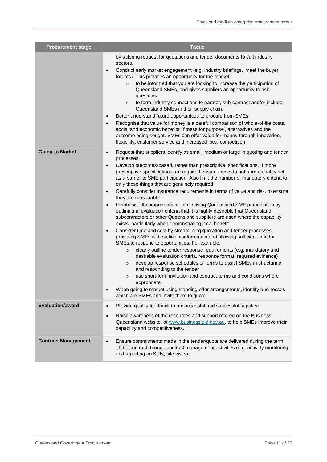| <b>Procurement stage</b>   | <b>Tactic</b>                                                                                                                                                                                                                                                                                                                                                                                                                                                                                                                                                                                                                                                                                                                                                                                                                                                                                                                                                                                                                                                                                                                                                                                                                                                                                                                                                                                                                                                                                                                                                                  |
|----------------------------|--------------------------------------------------------------------------------------------------------------------------------------------------------------------------------------------------------------------------------------------------------------------------------------------------------------------------------------------------------------------------------------------------------------------------------------------------------------------------------------------------------------------------------------------------------------------------------------------------------------------------------------------------------------------------------------------------------------------------------------------------------------------------------------------------------------------------------------------------------------------------------------------------------------------------------------------------------------------------------------------------------------------------------------------------------------------------------------------------------------------------------------------------------------------------------------------------------------------------------------------------------------------------------------------------------------------------------------------------------------------------------------------------------------------------------------------------------------------------------------------------------------------------------------------------------------------------------|
|                            | by tailoring request for quotations and tender documents to suit industry<br>sectors.<br>Conduct early market engagement (e.g. industry briefings, 'meet the buyer'<br>$\bullet$<br>forums). This provides an opportunity for the market:<br>to be informed that you are looking to increase the participation of<br>$\circ$<br>Queensland SMEs, and gives suppliers an opportunity to ask<br>questions<br>to form industry connections to partner, sub-contract and/or include<br>$\circ$<br>Queensland SMEs in their supply chain.<br>Better understand future opportunities to procure from SMEs.<br>$\bullet$<br>Recognise that value for money is a careful comparison of whole-of-life costs,<br>$\bullet$<br>social and economic benefits, 'fitness for purpose', alternatives and the<br>outcome being sought. SMEs can offer value for money through innovation,<br>flexibility, customer service and increased local competition.                                                                                                                                                                                                                                                                                                                                                                                                                                                                                                                                                                                                                                    |
| <b>Going to Market</b>     | Request that suppliers identify as small, medium or large in quoting and tender<br>$\bullet$<br>processes.<br>Develop outcomes-based, rather than prescriptive, specifications. If more<br>$\bullet$<br>prescriptive specifications are required ensure these do not unreasonably act<br>as a barrier to SME participation. Also limit the number of mandatory criteria to<br>only those things that are genuinely required.<br>Carefully consider insurance requirements in terms of value and risk, to ensure<br>$\bullet$<br>they are reasonable.<br>Emphasise the importance of maximising Queensland SME participation by<br>outlining in evaluation criteria that it is highly desirable that Queensland<br>subcontractors or other Queensland suppliers are used where the capability<br>exists, particularly when demonstrating local benefit.<br>Consider time and cost by streamlining quotation and tender processes,<br>$\bullet$<br>providing SMEs with sufficient information and allowing sufficient time for<br>SMEs to respond to opportunities. For example:<br>clearly outline tender response requirements (e.g. mandatory and<br>$\circ$<br>desirable evaluation criteria, response format, required evidence)<br>develop response schedules or forms to assist SMEs in structuring<br>$\circ$<br>and responding to the tender<br>use short-form invitation and contract terms and conditions where<br>$\circ$<br>appropriate.<br>When going to market using standing offer arrangements, identify businesses<br>which are SMEs and invite them to quote. |
| <b>Evaluation/award</b>    | Provide quality feedback to unsuccessful and successful suppliers.<br>$\bullet$<br>Raise awareness of the resources and support offered on the Business<br>$\bullet$<br>Queensland website, at www.business.gld.gov.au, to help SMEs improve their<br>capability and competitiveness.                                                                                                                                                                                                                                                                                                                                                                                                                                                                                                                                                                                                                                                                                                                                                                                                                                                                                                                                                                                                                                                                                                                                                                                                                                                                                          |
| <b>Contract Management</b> | Ensure commitments made in the tender/quote are delivered during the term<br>$\bullet$<br>of the contract through contract management activities (e.g. actively monitoring<br>and reporting on KPIs, site visits).                                                                                                                                                                                                                                                                                                                                                                                                                                                                                                                                                                                                                                                                                                                                                                                                                                                                                                                                                                                                                                                                                                                                                                                                                                                                                                                                                             |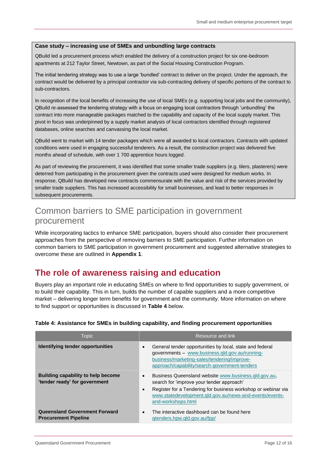#### <span id="page-11-0"></span>**Case study – increasing use of SMEs and unbundling large contracts**

QBuild led a procurement process which enabled the delivery of a construction project for six one-bedroom apartments at 212 Taylor Street, Newtown, as part of the Social Housing Construction Program.

The initial tendering strategy was to use a large 'bundled' contract to deliver on the project. Under the approach, the contract would be delivered by a principal contractor via sub-contracting delivery of specific portions of the contract to sub-contractors.

In recognition of the local benefits of increasing the use of local SMEs (e.g. supporting local jobs and the community), QBuild re-assessed the tendering strategy with a focus on engaging local contractors through 'unbundling' the contract into more manageable packages matched to the capability and capacity of the local supply market. This pivot in focus was underpinned by a supply market analysis of local contractors identified through registered databases, online searches and canvassing the local market.

QBuild went to market with 14 tender packages which were all awarded to local contractors. Contracts with updated conditions were used in engaging successful tenderers. As a result, the construction project was delivered five months ahead of schedule, with over 1 700 apprentice hours logged.

As part of reviewing the procurement, it was identified that some smaller trade suppliers (e.g. tilers, plasterers) were deterred from participating in the procurement given the contracts used were designed for medium works. In response, QBuild has developed new contracts commensurate with the value and risk of the services provided by smaller trade suppliers. This has increased accessibility for small businesses, and lead to better responses in subsequent procurements.

### <span id="page-11-1"></span>Common barriers to SME participation in government procurement

While incorporating tactics to enhance SME participation, buyers should also consider their procurement approaches from the perspective of removing barriers to SME participation. Further information on common barriers to SME participation in government procurement and suggested alternative strategies to overcome these are outlined in **Appendix 1**.

### <span id="page-11-2"></span>**The role of awareness raising and education**

Buyers play an important role in educating SMEs on where to find opportunities to supply government, or to build their capability. This in turn, builds the number of capable suppliers and a more competitive market – delivering longer term benefits for government and the community. More information on where to find support or opportunities is discussed in **Table 4** below.

| Topic                                                                      | Resource and link                                                                                                                                                                                                                                                             |
|----------------------------------------------------------------------------|-------------------------------------------------------------------------------------------------------------------------------------------------------------------------------------------------------------------------------------------------------------------------------|
| Identifying tender opportunities                                           | General tender opportunities by local, state and federal<br>$\bullet$<br>governments - www.business.gld.gov.au/running-<br>business/marketing-sales/tendering/improve-<br>approach/capability/search-government-tenders                                                       |
| <b>Building capability to help become</b><br>'tender ready' for government | Business Queensland website www.business.gld.gov.au.<br>$\bullet$<br>search for 'improve your tender approach'<br>Register for a Tendering for business workshop or webinar via<br>$\bullet$<br>www.statedevelopment.gld.gov.au/news-and-events/events-<br>and-workshops.html |
| <b>Queensland Government Forward</b><br><b>Procurement Pipeline</b>        | The interactive dashboard can be found here<br>$\bullet$<br>qtenders.hpw.gld.gov.au/fpp/                                                                                                                                                                                      |

#### **Table 4: Assistance for SMEs in building capability, and finding procurement opportunities**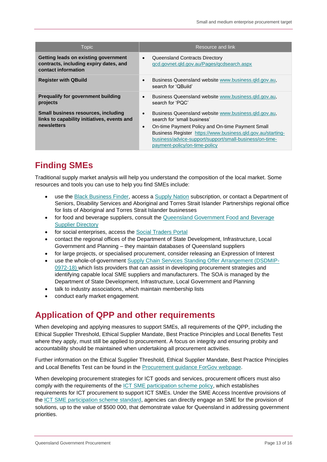| <b>Topic</b>                                                                                             | Resource and link                                                                                                                                                                                                                                                                                                            |
|----------------------------------------------------------------------------------------------------------|------------------------------------------------------------------------------------------------------------------------------------------------------------------------------------------------------------------------------------------------------------------------------------------------------------------------------|
| Getting leads on existing government<br>contracts, including expiry dates, and<br>contact information    | Queensland Contracts Directory<br>$\bullet$<br>gcd.govnet.gld.gov.au/Pages/gcdsearch.aspx                                                                                                                                                                                                                                    |
| <b>Register with QBuild</b>                                                                              | Business Queensland website www.business.gld.gov.au.<br>$\bullet$<br>search for 'QBuild'                                                                                                                                                                                                                                     |
| <b>Prequalify for government building</b><br>projects                                                    | Business Queensland website www.business.gld.gov.au,<br>$\bullet$<br>search for 'PQC'                                                                                                                                                                                                                                        |
| <b>Small business resources, including</b><br>links to capability initiatives, events and<br>newsletters | Business Queensland website www.business.gld.gov.au.<br>$\bullet$<br>search for 'small business'<br>On-time Payment Policy and On-time Payment Small<br>$\bullet$<br>Business Register https://www.business.qld.gov.au/starting-<br>business/advice-support/support/small-business/on-time-<br>payment-policy/on-time-policy |

# <span id="page-12-0"></span>**Finding SMEs**

Traditional supply market analysis will help you understand the composition of the local market. Some resources and tools you can use to help you find SMEs include:

- use the [Black Business Finder,](http://www.bbf.org.au/) access a [Supply Nation](https://supplynation.org.au/) subscription, or contact a Department of Seniors, Disability Services and Aboriginal and Torres Strait Islander Partnerships regional office for lists of Aboriginal and Torres Strait Islander businesses
- for food and beverage suppliers, consult the Queensland Government Food and Beverage [Supplier Directory](https://www.business.qld.gov.au/industries/hospitality-tourism-sport/food/find-supplier-queensland)
- for social enterprises, access the [Social Traders Portal](https://www.forgov.qld.gov.au/access-social-traders-portal)
- contact the regional offices of the Department of State Development, Infrastructure, Local Government and Planning – they maintain databases of Queensland suppliers
- for large projects, or specialised procurement, consider releasing an Expression of Interest
- use the whole-of-government [Supply Chain Services Standing Offer Arrangement \(DSDMIP-](http://qcd.govnet.qld.gov.au/Pages/Details.aspx?RecID=1991)[0972-18\)](http://qcd.govnet.qld.gov.au/Pages/Details.aspx?RecID=1991) which lists providers that can assist in developing procurement strategies and identifying capable local SME suppliers and manufacturers. The SOA is managed by the Department of State Development, Infrastructure, Local Government and Planning
- talk to industry associations, which maintain membership lists
- conduct early market engagement.

### <span id="page-12-1"></span>**Application of QPP and other requirements**

When developing and applying measures to support SMEs, all requirements of the QPP, including the Ethical Supplier Threshold, Ethical Supplier Mandate, Best Practice Principles and Local Benefits Test where they apply, must still be applied to procurement. A focus on integrity and ensuring probity and accountability should be maintained when undertaking all procurement activities.

Further information on the Ethical Supplier Threshold, Ethical Supplier Mandate, Best Practice Principles and Local Benefits Test can be found in the [Procurement guidance ForGov webpage.](https://www.forgov.qld.gov.au/procurement-guides)

When developing procurement strategies for ICT goods and services, procurement officers must also comply with the requirements of the **ICT SME** participation scheme policy, which establishes requirements for ICT procurement to support ICT SMEs. Under the SME Access Incentive provisions of the [ICT SME participation scheme standard,](https://www.qgcio.qld.gov.au/documents/ict-sme-participation-scheme-standard) agencies can directly engage an SME for the provision of solutions, up to the value of \$500 000, that demonstrate value for Queensland in addressing government priorities.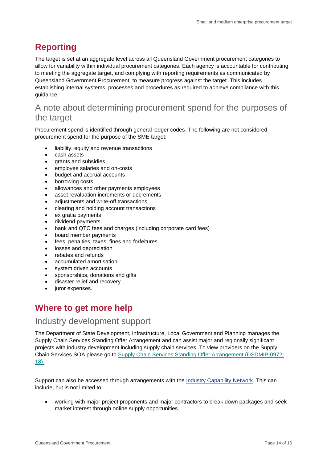# <span id="page-13-0"></span>**Reporting**

The target is set at an aggregate level across all Queensland Government procurement categories to allow for variability within individual procurement categories. Each agency is accountable for contributing to meeting the aggregate target, and complying with reporting requirements as communicated by Queensland Government Procurement, to measure progress against the target. This includes establishing internal systems, processes and procedures as required to achieve compliance with this guidance.

### <span id="page-13-1"></span>A note about determining procurement spend for the purposes of the target

Procurement spend is identified through general ledger codes. The following are not considered procurement spend for the purpose of the SME target:

- liability, equity and revenue transactions
- cash assets
- grants and subsidies
- employee salaries and on-costs
- budget and accrual accounts
- borrowing costs
- allowances and other payments employees
- asset revaluation increments or decrements
- adjustments and write-off transactions
- clearing and holding account transactions
- ex gratia payments
- dividend payments
- bank and QTC fees and charges (including corporate card fees)
- board member payments
- fees, penalties, taxes, fines and forfeitures
- losses and depreciation
- rebates and refunds
- accumulated amortisation
- system driven accounts
- sponsorships, donations and gifts
- disaster relief and recovery
- juror expenses.

### <span id="page-13-2"></span>**Where to get more help**

#### <span id="page-13-3"></span>Industry development support

The Department of State Development, Infrastructure, Local Government and Planning manages the Supply Chain Services Standing Offer Arrangement and can assist major and regionally significant projects with industry development including supply chain services. To view providers on the Supply Chain Services SOA please go to [Supply Chain Services Standing Offer Arrangement \(DSDMIP-0972-](http://qcd.govnet.qld.gov.au/Pages/Details.aspx?RecID=1991) [18\)](http://qcd.govnet.qld.gov.au/Pages/Details.aspx?RecID=1991).

Support can also be accessed through arrangements with the [Industry Capability Network.](https://icn.org.au/) This can include, but is not limited to:

• working with major project proponents and major contractors to break down packages and seek market interest through online supply opportunities.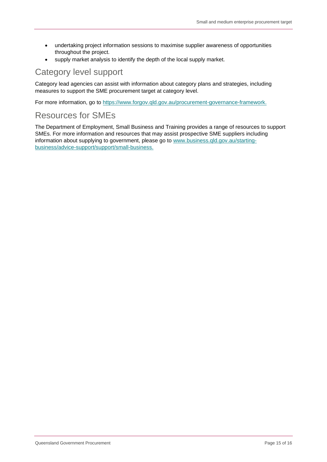- undertaking project information sessions to maximise supplier awareness of opportunities throughout the project.
- supply market analysis to identify the depth of the local supply market.

### <span id="page-14-0"></span>Category level support

Category lead agencies can assist with information about category plans and strategies, including measures to support the SME procurement target at category level.

For more information, go to [https://www.forgov.qld.gov.au/procurement-governance-framework.](https://www.forgov.qld.gov.au/procurement-governance-framework)

#### <span id="page-14-1"></span>Resources for SMEs

The Department of Employment, Small Business and Training provides a range of resources to support SMEs. For more information and resources that may assist prospective SME suppliers including information about supplying to government, please go to [www.business.qld.gov.au/starting](http://www.business.qld.gov.au/starting-business/advice-support/support/small-business)[business/advice-support/support/small-business.](http://www.business.qld.gov.au/starting-business/advice-support/support/small-business)